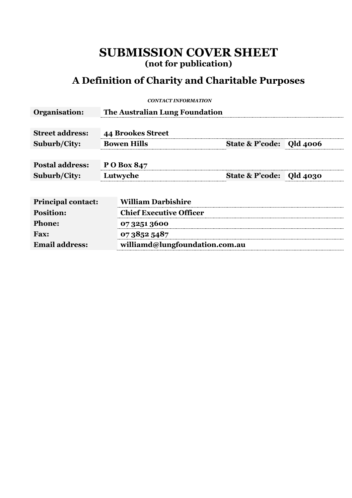## **SUBMISSION COVER SHEET (not for publication)**

## **A Definition of Charity and Charitable Purposes**

*CONTACT INFORMATION*

| Organisation:             | The Australian Lung Foundation |                                |  |  |
|---------------------------|--------------------------------|--------------------------------|--|--|
|                           |                                |                                |  |  |
| <b>Street address:</b>    | <b>44 Brookes Street</b>       |                                |  |  |
| Suburb/City:              | <b>Bowen Hills</b>             | State & P'code: Qld 4006       |  |  |
|                           |                                |                                |  |  |
| <b>Postal address:</b>    | P O Box 847                    |                                |  |  |
| <b>Suburb/City:</b>       | Lutwyche                       | State & P'code: Qld 4030       |  |  |
|                           |                                |                                |  |  |
| <b>Principal contact:</b> | <b>William Darbishire</b>      |                                |  |  |
| <b>Position:</b>          |                                | <b>Chief Executive Officer</b> |  |  |
| <b>Phone:</b>             | 07 3251 3600                   |                                |  |  |
| <b>Fax:</b>               | 0738525487                     |                                |  |  |
| <b>Email address:</b>     |                                | williamd@lungfoundation.com.au |  |  |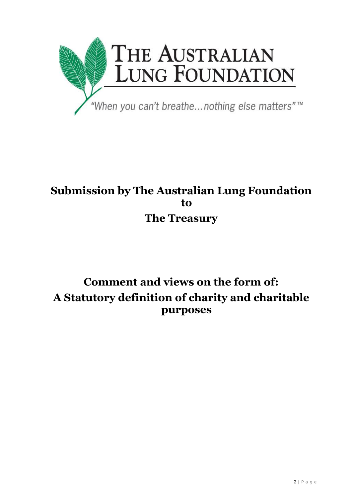

# **Submission by The Australian Lung Foundation to The Treasury**

# **Comment and views on the form of: A Statutory definition of charity and charitable purposes**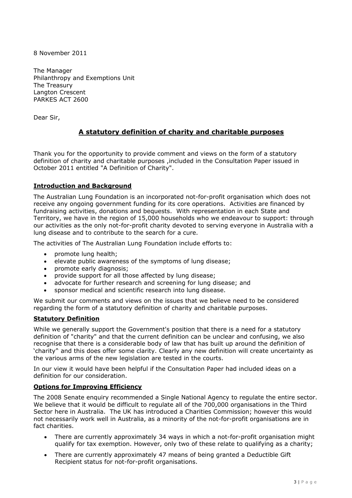8 November 2011

The Manager Philanthropy and Exemptions Unit The Treasury Langton Crescent PARKES ACT 2600

Dear Sir,

## **A statutory definition of charity and charitable purposes**

Thank you for the opportunity to provide comment and views on the form of a statutory definition of charity and charitable purposes ,included in the Consultation Paper issued in October 2011 entitled "A Definition of Charity".

## **Introduction and Background**

The Australian Lung Foundation is an incorporated not-for-profit organisation which does not receive any ongoing government funding for its core operations. Activities are financed by fundraising activities, donations and bequests. With representation in each State and Territory, we have in the region of 15,000 households who we endeavour to support: through our activities as the only not-for-profit charity devoted to serving everyone in Australia with a lung disease and to contribute to the search for a cure.

The activities of The Australian Lung Foundation include efforts to:

- promote lung health;
- elevate public awareness of the symptoms of lung disease;
- promote early diagnosis;
- provide support for all those affected by lung disease;
- advocate for further research and screening for lung disease; and
- sponsor medical and scientific research into lung disease.

We submit our comments and views on the issues that we believe need to be considered regarding the form of a statutory definition of charity and charitable purposes.

#### **Statutory Definition**

While we generally support the Government's position that there is a need for a statutory definition of "charity" and that the current definition can be unclear and confusing, we also recognise that there is a considerable body of law that has built up around the definition of 'charity'' and this does offer some clarity. Clearly any new definition will create uncertainty as the various arms of the new legislation are tested in the courts.

In our view it would have been helpful if the Consultation Paper had included ideas on a definition for our consideration.

#### **Options for Improving Efficiency**

The 2008 Senate enquiry recommended a Single National Agency to regulate the entire sector. We believe that it would be difficult to regulate all of the 700,000 organisations in the Third Sector here in Australia. The UK has introduced a Charities Commission; however this would not necessarily work well in Australia, as a minority of the not-for-profit organisations are in fact charities.

- There are currently approximately 34 ways in which a not-for-profit organisation might qualify for tax exemption. However, only two of these relate to qualifying as a charity;
- There are currently approximately 47 means of being granted a Deductible Gift Recipient status for not-for-profit organisations.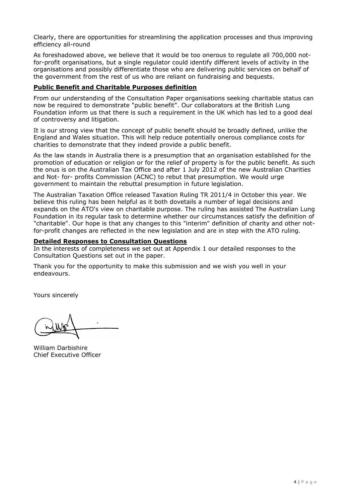Clearly, there are opportunities for streamlining the application processes and thus improving efficiency all-round

As foreshadowed above, we believe that it would be too onerous to regulate all 700,000 notfor-profit organisations, but a single regulator could identify different levels of activity in the organisations and possibly differentiate those who are delivering public services on behalf of the government from the rest of us who are reliant on fundraising and bequests.

## **Public Benefit and Charitable Purposes definition**

From our understanding of the Consultation Paper organisations seeking charitable status can now be required to demonstrate "public benefit". Our collaborators at the British Lung Foundation inform us that there is such a requirement in the UK which has led to a good deal of controversy and litigation.

It is our strong view that the concept of public benefit should be broadly defined, unlike the England and Wales situation. This will help reduce potentially onerous compliance costs for charities to demonstrate that they indeed provide a public benefit.

As the law stands in Australia there is a presumption that an organisation established for the promotion of education or religion or for the relief of property is for the public benefit. As such the onus is on the Australian Tax Office and after 1 July 2012 of the new Australian Charities and Not- for- profits Commission (ACNC) to rebut that presumption. We would urge government to maintain the rebuttal presumption in future legislation.

The Australian Taxation Office released Taxation Ruling TR 2011/4 in October this year. We believe this ruling has been helpful as it both dovetails a number of legal decisions and expands on the ATO's view on charitable purpose. The ruling has assisted The Australian Lung Foundation in its regular task to determine whether our circumstances satisfy the definition of "charitable". Our hope is that any changes to this "interim" definition of charity and other notfor-profit changes are reflected in the new legislation and are in step with the ATO ruling.

#### **Detailed Responses to Consultation Questions**

In the interests of completeness we set out at Appendix 1 our detailed responses to the Consultation Questions set out in the paper.

Thank you for the opportunity to make this submission and we wish you well in your endeavours.

Yours sincerely

William Darbishire Chief Executive Officer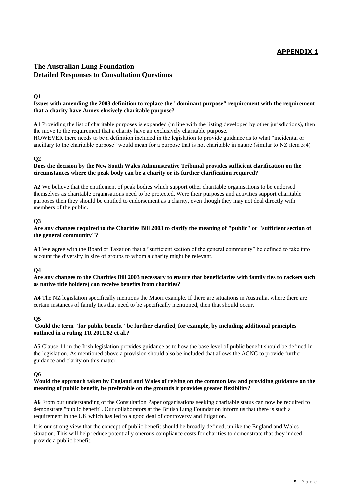## **APPENDIX 1**

## **The Australian Lung Foundation Detailed Responses to Consultation Questions**

#### **Q1**

#### **Issues with amending the 2003 definition to replace the "dominant purpose" requirement with the requirement that a charity have Annex elusively charitable purpose?**

**A1** Providing the list of charitable purposes is expanded (in line with the listing developed by other jurisdictions), then the move to the requirement that a charity have an exclusively charitable purpose.

HOWEVER there needs to be a definition included in the legislation to provide guidance as to what "incidental or ancillary to the charitable purpose" would mean for a purpose that is not charitable in nature (similar to NZ item 5:4)

#### **Q2**

#### **Does the decision by the New South Wales Administrative Tribunal provides sufficient clarification on the circumstances where the peak body can be a charity or its further clarification required?**

**A2** We believe that the entitlement of peak bodies which support other charitable organisations to be endorsed themselves as charitable organisations need to be protected. Were their purposes and activities support charitable purposes then they should be entitled to endorsement as a charity, even though they may not deal directly with members of the public.

#### **Q3**

#### **Are any changes required to the Charities Bill 2003 to clarify the meaning of "public" or "sufficient section of the general community"?**

**A3** We **a**gree with the Board of Taxation that a "sufficient section of the general community" be defined to take into account the diversity in size of groups to whom a charity might be relevant.

#### **Q4**

#### **Are any changes to the Charities Bill 2003 necessary to ensure that beneficiaries with family ties to rackets such as native title holders) can receive benefits from charities?**

**A4** The NZ legislation specifically mentions the Maori example. If there are situations in Australia, where there are certain instances of family ties that need to be specifically mentioned, then that should occur.

#### **Q5**

#### **Could the term "for public benefit" be further clarified, for example, by including additional principles outlined in a ruling TR 2011/82 et al.?**

**A5** Clause 11 in the Irish legislation provides guidance as to how the base level of public benefit should be defined in the legislation. As mentioned above a provision should also be included that allows the ACNC to provide further guidance and clarity on this matter.

#### **Q6**

#### **Would the approach taken by England and Wales of relying on the common law and providing guidance on the meaning of public benefit, be preferable on the grounds it provides greater flexibility?**

**A6** From our understanding of the Consultation Paper organisations seeking charitable status can now be required to demonstrate "public benefit". Our collaborators at the British Lung Foundation inform us that there is such a requirement in the UK which has led to a good deal of controversy and litigation.

It is our strong view that the concept of public benefit should be broadly defined, unlike the England and Wales situation. This will help reduce potentially onerous compliance costs for charities to demonstrate that they indeed provide a public benefit.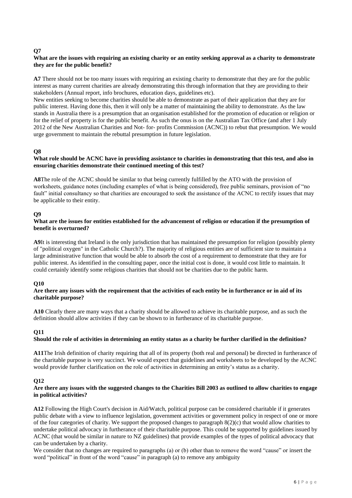#### **Q7**

#### **What are the issues with requiring an existing charity or an entity seeking approval as a charity to demonstrate they are for the public benefit?**

**A7** There should not be too many issues with requiring an existing charity to demonstrate that they are for the public interest as many current charities are already demonstrating this through information that they are providing to their stakeholders (Annual report, info brochures, education days, guidelines etc).

New entities seeking to become charities should be able to demonstrate as part of their application that they are for public interest. Having done this, then it will only be a matter of maintaining the ability to demonstrate. As the law stands in Australia there is a presumption that an organisation established for the promotion of education or religion or for the relief of property is for the public benefit. As such the onus is on the Australian Tax Office (and after 1 July 2012 of the New Australian Charities and Not- for- profits Commission (ACNC)) to rebut that presumption. We would urge government to maintain the rebuttal presumption in future legislation.

#### **Q8**

#### **What role should be ACNC have in providing assistance to charities in demonstrating that this test, and also in ensuring charities demonstrate their continued meeting of this test?**

**A8**The role of the ACNC should be similar to that being currently fulfilled by the ATO with the provision of worksheets, guidance notes (including examples of what is being considered), free public seminars, provision of "no fault" initial consultancy so that charities are encouraged to seek the assistance of the ACNC to rectify issues that may be applicable to their entity.

#### **Q9**

#### What are the issues for entities established for the advancement of religion or education if the presumption of **benefit is overturned?**

**A9**It is interesting that Ireland is the only jurisdiction that has maintained the presumption for religion (possibly plenty of "political oxygen" in the Catholic Church?). The majority of religious entities are of sufficient size to maintain a large administrative function that would be able to absorb the cost of a requirement to demonstrate that they are for public interest. As identified in the consulting paper, once the initial cost is done, it would cost little to maintain. It could certainly identify some religious charities that should not be charities due to the public harm.

#### **Q10**

#### **Are there any issues with the requirement that the activities of each entity be in furtherance or in aid of its charitable purpose?**

**A10** Clearly there are many ways that a charity should be allowed to achieve its charitable purpose, and as such the definition should allow activities if they can be shown to in furtherance of its charitable purpose.

#### **Q11**

#### **Should the role of activities in determining an entity status as a charity be further clarified in the definition?**

**A11**The Irish definition of charity requiring that all of its property (both real and personal) be directed in furtherance of the charitable purpose is very succinct. We would expect that guidelines and worksheets to be developed by the ACNC would provide further clarification on the role of activities in determining an entity's status as a charity.

#### **Q12**

#### **Are there any issues with the suggested changes to the Charities Bill 2003 as outlined to allow charities to engage in political activities?**

**A12** Following the High Court's decision in Aid/Watch, political purpose can be considered charitable if it generates public debate with a view to influence legislation, government activities or government policy in respect of one or more of the four categories of charity. We support the proposed changes to paragraph  $8(2)(c)$  that would allow charities to undertake political advocacy in furtherance of their charitable purpose. This could be supported by guidelines issued by ACNC (that would be similar in nature to NZ guidelines) that provide examples of the types of political advocacy that can be undertaken by a charity.

We consider that no changes are required to paragraphs (a) or (b) other than to remove the word "cause" or insert the word "political" in front of the word "cause" in paragraph (a) to remove any ambiguity